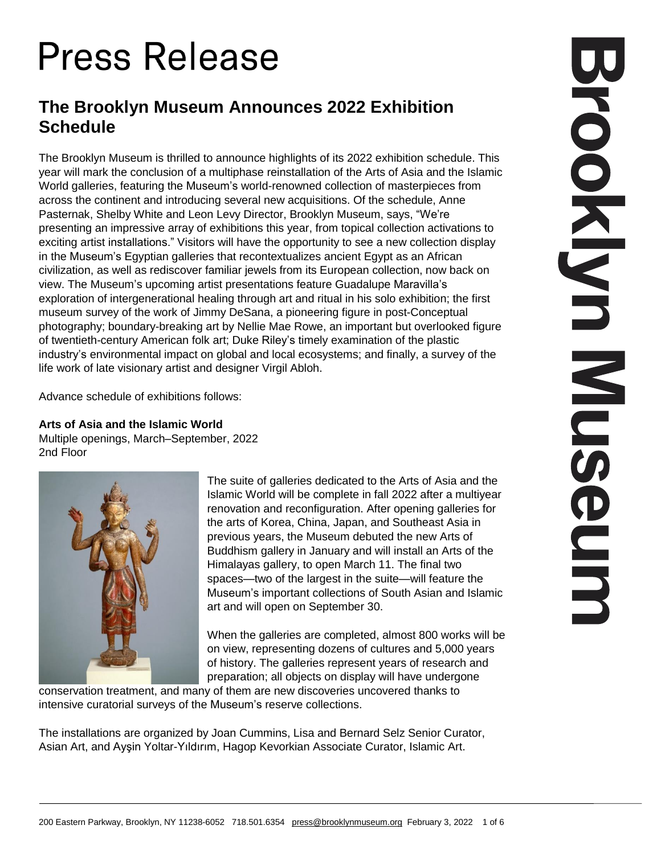# **Press Release**

# **The Brooklyn Museum Announces 2022 Exhibition Schedule**

The Brooklyn Museum is thrilled to announce highlights of its 2022 exhibition schedule. This year will mark the conclusion of a multiphase reinstallation of the Arts of Asia and the Islamic World galleries, featuring the Museum's world-renowned collection of masterpieces from across the continent and introducing several new acquisitions. Of the schedule, Anne Pasternak, Shelby White and Leon Levy Director, Brooklyn Museum, says, "We're presenting an impressive array of exhibitions this year, from topical collection activations to exciting artist installations." Visitors will have the opportunity to see a new collection display in the Museum's Egyptian galleries that recontextualizes ancient Egypt as an African civilization, as well as rediscover familiar jewels from its European collection, now back on view. The Museum's upcoming artist presentations feature Guadalupe Maravilla's exploration of intergenerational healing through art and ritual in his solo exhibition; the first museum survey of the work of Jimmy DeSana, a pioneering figure in post-Conceptual photography; boundary-breaking art by Nellie Mae Rowe, an important but overlooked figure of twentieth-century American folk art; Duke Riley's timely examination of the plastic industry's environmental impact on global and local ecosystems; and finally, a survey of the life work of late visionary artist and designer Virgil Abloh.

Advance schedule of exhibitions follows:

## **Arts of Asia and the Islamic World**

Multiple openings, March–September, 2022 2nd Floor



The suite of galleries dedicated to the Arts of Asia and the Islamic World will be complete in fall 2022 after a multiyear renovation and reconfiguration. After opening galleries for the arts of Korea, China, Japan, and Southeast Asia in previous years, the Museum debuted the new Arts of Buddhism gallery in January and will install an Arts of the Himalayas gallery, to open March 11. The final two spaces—two of the largest in the suite—will feature the Museum's important collections of South Asian and Islamic art and will open on September 30.

When the galleries are completed, almost 800 works will be on view, representing dozens of cultures and 5,000 years of history. The galleries represent years of research and preparation; all objects on display will have undergone

conservation treatment, and many of them are new discoveries uncovered thanks to intensive curatorial surveys of the Museum's reserve collections.

The installations are organized by Joan Cummins, Lisa and Bernard Selz Senior Curator, Asian Art, and Ayşin Yoltar-Yıldırım, Hagop Kevorkian Associate Curator, Islamic Art.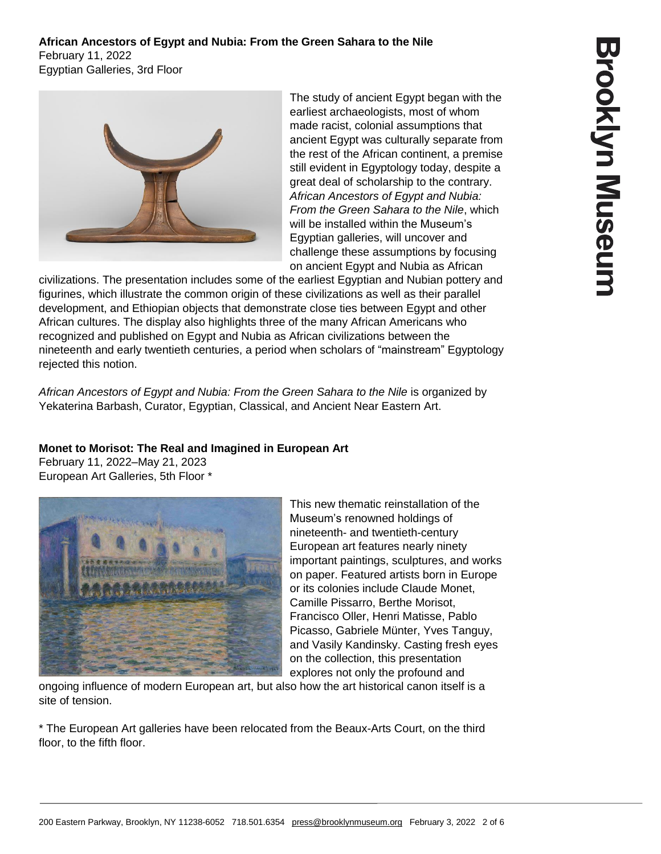## **African Ancestors of Egypt and Nubia: From the Green Sahara to the Nile** February 11, 2022 Egyptian Galleries, 3rd Floor



The study of ancient Egypt began with the earliest archaeologists, most of whom made racist, colonial assumptions that ancient Egypt was culturally separate from the rest of the African continent, a premise still evident in Egyptology today, despite a great deal of scholarship to the contrary. *African Ancestors of Egypt and Nubia: From the Green Sahara to the Nile*, which will be installed within the Museum's Egyptian galleries, will uncover and challenge these assumptions by focusing on ancient Egypt and Nubia as African

civilizations. The presentation includes some of the earliest Egyptian and Nubian pottery and figurines, which illustrate the common origin of these civilizations as well as their parallel development, and Ethiopian objects that demonstrate close ties between Egypt and other African cultures. The display also highlights three of the many African Americans who recognized and published on Egypt and Nubia as African civilizations between the nineteenth and early twentieth centuries, a period when scholars of "mainstream" Egyptology rejected this notion.

*African Ancestors of Egypt and Nubia: From the Green Sahara to the Nile* is organized by Yekaterina Barbash, Curator, Egyptian, Classical, and Ancient Near Eastern Art.

# **Monet to Morisot: The Real and Imagined in European Art**

February 11, 2022–May 21, 2023 European Art Galleries, 5th Floor \*



This new thematic reinstallation of the Museum's renowned holdings of nineteenth- and twentieth-century European art features nearly ninety important paintings, sculptures, and works on paper. Featured artists born in Europe or its colonies include Claude Monet, Camille Pissarro, Berthe Morisot, Francisco Oller, Henri Matisse, Pablo Picasso, Gabriele Münter, Yves Tanguy, and Vasily Kandinsky. Casting fresh eyes on the collection, this presentation explores not only the profound and

ongoing influence of modern European art, but also how the art historical canon itself is a site of tension.

\* The European Art galleries have been relocated from the Beaux-Arts Court, on the third floor, to the fifth floor.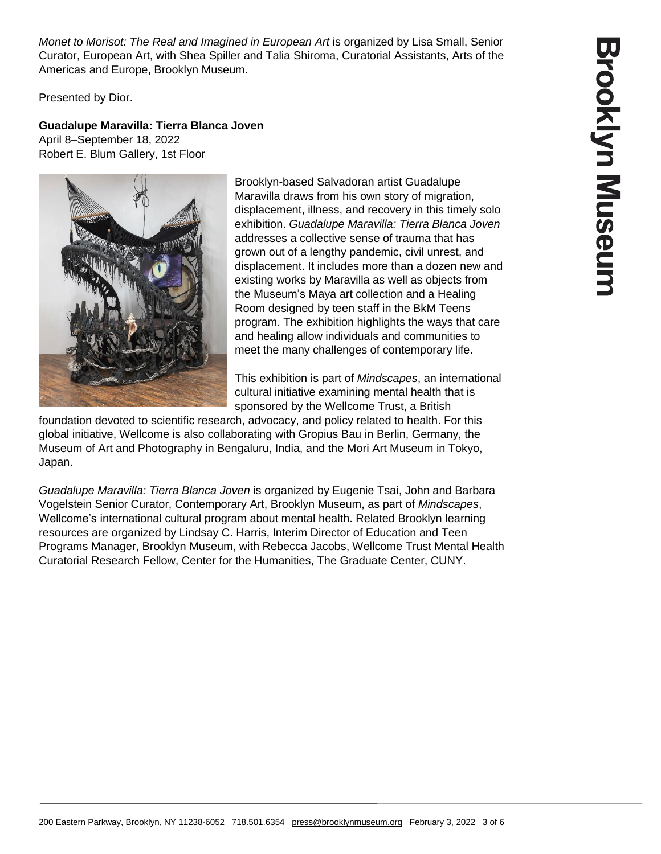*Monet to Morisot: The Real and Imagined in European Art* is organized by Lisa Small, Senior Curator, European Art, with Shea Spiller and Talia Shiroma, Curatorial Assistants, Arts of the Americas and Europe, Brooklyn Museum.

Presented by Dior.

# **Guadalupe Maravilla: Tierra Blanca Joven**

April 8–September 18, 2022 Robert E. Blum Gallery, 1st Floor

> Brooklyn-based Salvadoran artist Guadalupe Maravilla draws from his own story of migration, displacement, illness, and recovery in this timely solo exhibition. *Guadalupe Maravilla: Tierra Blanca Joven* addresses a collective sense of trauma that has grown out of a lengthy pandemic, civil unrest, and displacement. It includes more than a dozen new and existing works by Maravilla as well as objects from the Museum's Maya art collection and a Healing Room designed by teen staff in the BkM Teens program. The exhibition highlights the ways that care and healing allow individuals and communities to meet the many challenges of contemporary life.

> This exhibition is part of *Mindscapes*, an international cultural initiative examining mental health that is sponsored by the Wellcome Trust, a British

foundation devoted to scientific research, advocacy, and policy related to health. For this global initiative, Wellcome is also collaborating with Gropius Bau in Berlin, Germany, the Museum of Art and Photography in Bengaluru, India, and the Mori Art Museum in Tokyo, Japan.

*Guadalupe Maravilla: Tierra Blanca Joven* is organized by Eugenie Tsai, John and Barbara Vogelstein Senior Curator, Contemporary Art, Brooklyn Museum, as part of *Mindscapes*, Wellcome's international cultural program about mental health. Related Brooklyn learning resources are organized by Lindsay C. Harris, Interim Director of Education and Teen Programs Manager, Brooklyn Museum, with Rebecca Jacobs, Wellcome Trust Mental Health Curatorial Research Fellow, Center for the Humanities, The Graduate Center, CUNY.

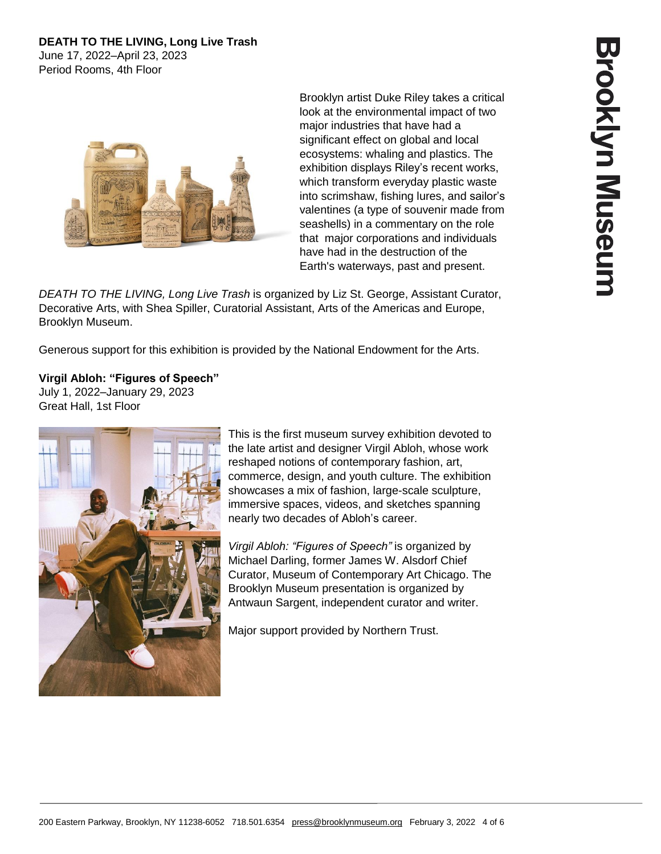# **DEATH TO THE LIVING, Long Live Trash**

June 17, 2022–April 23, 2023 Period Rooms, 4th Floor



Brooklyn artist Duke Riley takes a critical look at the environmental impact of two major industries that have had a significant effect on global and local ecosystems: whaling and plastics. The exhibition displays Riley's recent works, which transform everyday plastic waste into scrimshaw, fishing lures, and sailor's valentines (a type of souvenir made from seashells) in a commentary on the role that major corporations and individuals have had in the destruction of the Earth's waterways, past and present.

*DEATH TO THE LIVING, Long Live Trash* is organized by Liz St. George, Assistant Curator, Decorative Arts, with Shea Spiller, Curatorial Assistant, Arts of the Americas and Europe, Brooklyn Museum.

Generous support for this exhibition is provided by the National Endowment for the Arts.

#### **Virgil Abloh: "Figures of Speech"** July 1, 2022–January 29, 2023 Great Hall, 1st Floor



This is the first museum survey exhibition devoted to the late artist and designer Virgil Abloh, whose work reshaped notions of contemporary fashion, art, commerce, design, and youth culture. The exhibition showcases a mix of fashion, large-scale sculpture, immersive spaces, videos, and sketches spanning nearly two decades of Abloh's career.

*Virgil Abloh: "Figures of Speech"* is organized by Michael Darling, former James W. Alsdorf Chief Curator, Museum of Contemporary Art Chicago. The Brooklyn Museum presentation is organized by Antwaun Sargent, independent curator and writer.

Major support provided by Northern Trust.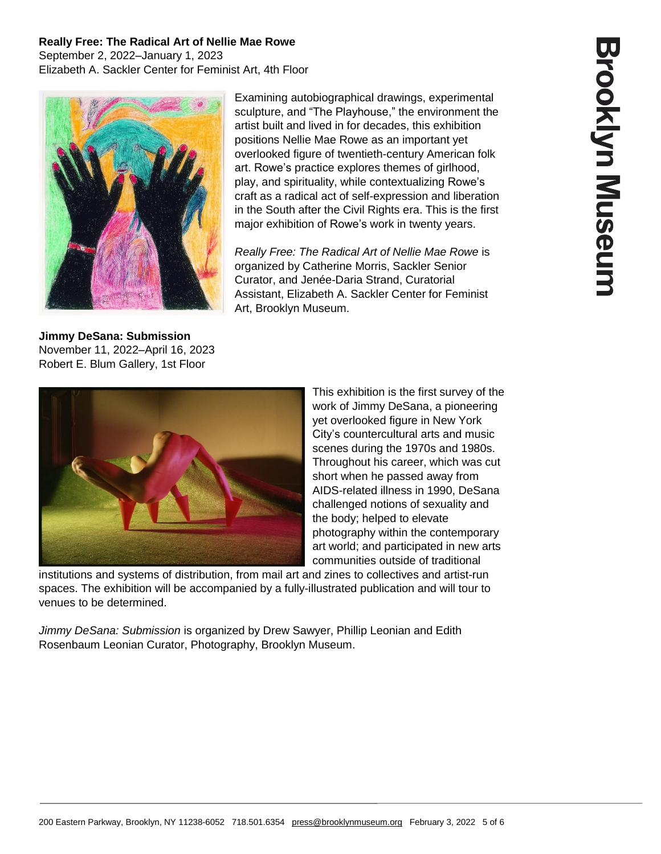#### **Really Free: The Radical Art of Nellie Mae Rowe** September 2, 2022–January 1, 2023 Elizabeth A. Sackler Center for Feminist Art, 4th Floor



**Jimmy DeSana: Submission** November 11, 2022–April 16, 2023 Robert E. Blum Gallery, 1st Floor

Examining autobiographical drawings, experimental sculpture, and "The Playhouse," the environment the artist built and lived in for decades, this exhibition positions Nellie Mae Rowe as an important yet overlooked figure of twentieth-century American folk art. Rowe's practice explores themes of girlhood, play, and spirituality, while contextualizing Rowe's craft as a radical act of self-expression and liberation in the South after the Civil Rights era. This is the first major exhibition of Rowe's work in twenty years.

*Really Free: The Radical Art of Nellie Mae Rowe* is organized by Catherine Morris, Sackler Senior Curator, and Jenée-Daria Strand, Curatorial Assistant, Elizabeth A. Sackler Center for Feminist Art, Brooklyn Museum.



This exhibition is the first survey of the work of Jimmy DeSana, a pioneering yet overlooked figure in New York City's countercultural arts and music scenes during the 1970s and 1980s. Throughout his career, which was cut short when he passed away from AIDS-related illness in 1990, DeSana challenged notions of sexuality and the body; helped to elevate photography within the contemporary art world; and participated in new arts communities outside of traditional

institutions and systems of distribution, from mail art and zines to collectives and artist-run spaces. The exhibition will be accompanied by a fully-illustrated publication and will tour to venues to be determined.

*Jimmy DeSana: Submission* is organized by Drew Sawyer, Phillip Leonian and Edith Rosenbaum Leonian Curator, Photography, Brooklyn Museum.